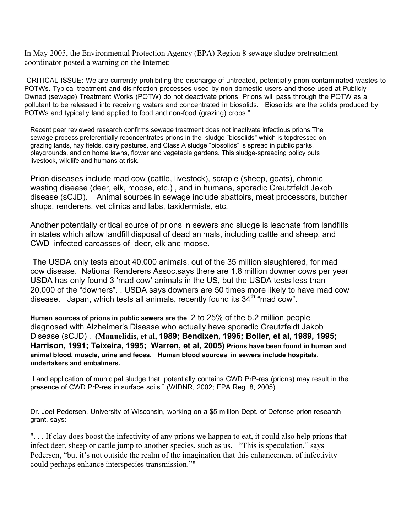In May 2005, the Environmental Protection Agency (EPA) Region 8 sewage sludge pretreatment coordinator posted a warning on the Internet:

"CRITICAL ISSUE: We are currently prohibiting the discharge of untreated, potentially prion-contaminated wastes to POTWs. Typical treatment and disinfection processes used by non-domestic users and those used at Publicly Owned (sewage) Treatment Works (POTW) do not deactivate prions. Prions will pass through the POTW as a pollutant to be released into receiving waters and concentrated in biosolids. Biosolids are the solids produced by POTWs and typically land applied to food and non-food (grazing) crops."

Recent peer reviewed research confirms sewage treatment does not inactivate infectious prions.The sewage process preferentially reconcentrates prions in the sludge "biosolids" which is topdressed on grazing lands, hay fields, dairy pastures, and Class A sludge "biosolids" is spread in public parks, playgrounds, and on home lawns, flower and vegetable gardens. This sludge-spreading policy puts livestock, wildlife and humans at risk.

Prion diseases include mad cow (cattle, livestock), scrapie (sheep, goats), chronic wasting disease (deer, elk, moose, etc.) , and in humans, sporadic Creutzfeldt Jakob disease (sCJD). Animal sources in sewage include abattoirs, meat processors, butcher shops, renderers, vet clinics and labs, taxidermists, etc.

Another potentially critical source of prions in sewers and sludge is leachate from landfills in states which allow landfill disposal of dead animals, including cattle and sheep, and CWD infected carcasses of deer, elk and moose.

 The USDA only tests about 40,000 animals, out of the 35 million slaughtered, for mad cow disease. National Renderers Assoc.says there are 1.8 million downer cows per year USDA has only found 3 'mad cow' animals in the US, but the USDA tests less than 20,000 of the "downers". . USDA says downers are 50 times more likely to have mad cow disease. Japan, which tests all animals, recently found its 34<sup>th</sup> "mad cow".

**Human sources of prions in public sewers are the** 2 to 25% of the 5.2 million people diagnosed with Alzheimer's Disease who actually have sporadic Creutzfeldt Jakob Disease (sCJD) . **(Manuelidis, et al, 1989; Bendixen, 1996; Boller, et al, 1989, 1995; Harrison, 1991; Teixeira, 1995; Warren, et al, 2005) Prions have been found in human and animal blood, muscle, urine and feces. Human blood sources in sewers include hospitals, undertakers and embalmers.**

"Land application of municipal sludge that potentially contains CWD PrP-res (prions) may result in the presence of CWD PrP-res in surface soils." (WIDNR, 2002; EPA Reg. 8, 2005)

Dr. Joel Pedersen, University of Wisconsin, working on a \$5 million Dept. of Defense prion research grant, says:

". . . If clay does boost the infectivity of any prions we happen to eat, it could also help prions that infect deer, sheep or cattle jump to another species, such as us. "This is speculation," says Pedersen, "but it's not outside the realm of the imagination that this enhancement of infectivity could perhaps enhance interspecies transmission.""